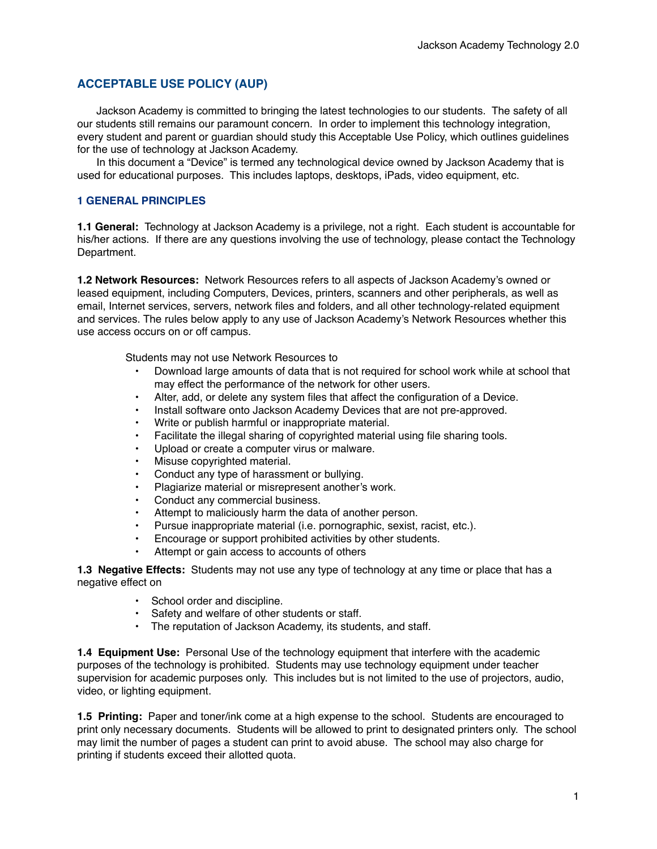# **ACCEPTABLE USE POLICY (AUP)**

Jackson Academy is committed to bringing the latest technologies to our students. The safety of all our students still remains our paramount concern. In order to implement this technology integration, every student and parent or guardian should study this Acceptable Use Policy, which outlines guidelines for the use of technology at Jackson Academy.

In this document a "Device" is termed any technological device owned by Jackson Academy that is used for educational purposes. This includes laptops, desktops, iPads, video equipment, etc.

### **1 GENERAL PRINCIPLES**

**1.1 General:** Technology at Jackson Academy is a privilege, not a right. Each student is accountable for his/her actions. If there are any questions involving the use of technology, please contact the Technology Department.

**1.2 Network Resources:** Network Resources refers to all aspects of Jackson Academy's owned or leased equipment, including Computers, Devices, printers, scanners and other peripherals, as well as email, Internet services, servers, network files and folders, and all other technology-related equipment and services. The rules below apply to any use of Jackson Academy's Network Resources whether this use access occurs on or off campus.

Students may not use Network Resources to

- Download large amounts of data that is not required for school work while at school that may effect the performance of the network for other users.
- Alter, add, or delete any system files that affect the configuration of a Device.
- Install software onto Jackson Academy Devices that are not pre-approved.
- Write or publish harmful or inappropriate material.
- Facilitate the illegal sharing of copyrighted material using file sharing tools.
- Upload or create a computer virus or malware.
- Misuse copyrighted material.
- Conduct any type of harassment or bullying.
- Plagiarize material or misrepresent another's work.
- Conduct any commercial business.
- Attempt to maliciously harm the data of another person.
- Pursue inappropriate material (i.e. pornographic, sexist, racist, etc.).
- Encourage or support prohibited activities by other students.
- Attempt or gain access to accounts of others

**1.3 Negative Effects:** Students may not use any type of technology at any time or place that has a negative effect on

- School order and discipline.
- Safety and welfare of other students or staff.
- The reputation of Jackson Academy, its students, and staff.

**1.4 Equipment Use:** Personal Use of the technology equipment that interfere with the academic purposes of the technology is prohibited. Students may use technology equipment under teacher supervision for academic purposes only. This includes but is not limited to the use of projectors, audio, video, or lighting equipment.

**1.5 Printing:** Paper and toner/ink come at a high expense to the school. Students are encouraged to print only necessary documents. Students will be allowed to print to designated printers only. The school may limit the number of pages a student can print to avoid abuse. The school may also charge for printing if students exceed their allotted quota.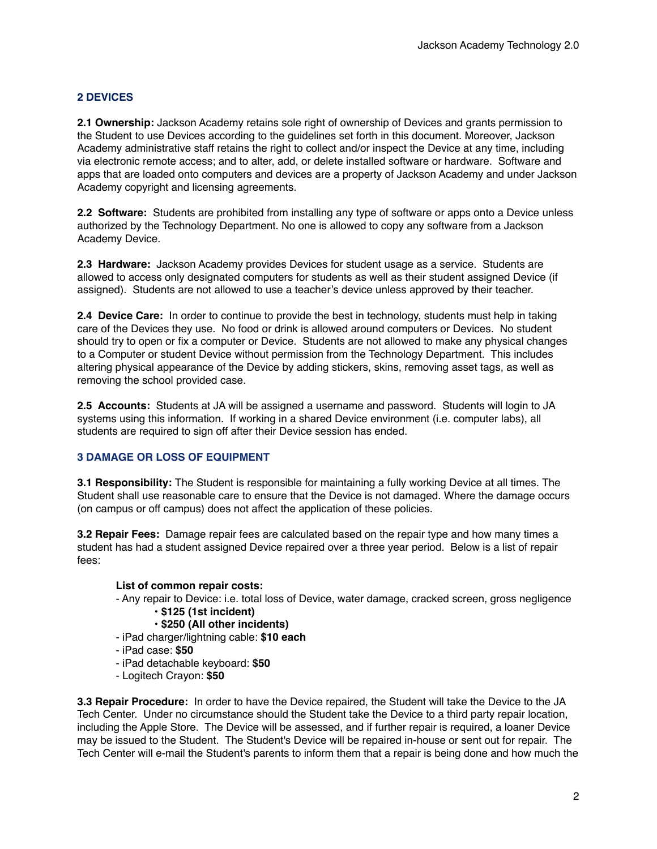# **2 DEVICES**

**2.1 Ownership:** Jackson Academy retains sole right of ownership of Devices and grants permission to the Student to use Devices according to the guidelines set forth in this document. Moreover, Jackson Academy administrative staff retains the right to collect and/or inspect the Device at any time, including via electronic remote access; and to alter, add, or delete installed software or hardware. Software and apps that are loaded onto computers and devices are a property of Jackson Academy and under Jackson Academy copyright and licensing agreements.

**2.2 Software:** Students are prohibited from installing any type of software or apps onto a Device unless authorized by the Technology Department. No one is allowed to copy any software from a Jackson Academy Device.

**2.3 Hardware:** Jackson Academy provides Devices for student usage as a service. Students are allowed to access only designated computers for students as well as their student assigned Device (if assigned). Students are not allowed to use a teacher's device unless approved by their teacher.

**2.4 Device Care:** In order to continue to provide the best in technology, students must help in taking care of the Devices they use. No food or drink is allowed around computers or Devices. No student should try to open or fix a computer or Device. Students are not allowed to make any physical changes to a Computer or student Device without permission from the Technology Department. This includes altering physical appearance of the Device by adding stickers, skins, removing asset tags, as well as removing the school provided case.

**2.5 Accounts:** Students at JA will be assigned a username and password. Students will login to JA systems using this information. If working in a shared Device environment (i.e. computer labs), all students are required to sign off after their Device session has ended.

# **3 DAMAGE OR LOSS OF EQUIPMENT**

**3.1 Responsibility:** The Student is responsible for maintaining a fully working Device at all times. The Student shall use reasonable care to ensure that the Device is not damaged. Where the damage occurs (on campus or off campus) does not affect the application of these policies.

**3.2 Repair Fees:** Damage repair fees are calculated based on the repair type and how many times a student has had a student assigned Device repaired over a three year period. Below is a list of repair fees:

#### **List of common repair costs:**

- Any repair to Device: i.e. total loss of Device, water damage, cracked screen, gross negligence
	- **\$125 (1st incident)**
	- **\$250 (All other incidents)**
- iPad charger/lightning cable: **\$10 each**
- iPad case: **\$50**
- iPad detachable keyboard: **\$50**
- Logitech Crayon: **\$50**

**3.3 Repair Procedure:** In order to have the Device repaired, the Student will take the Device to the JA Tech Center. Under no circumstance should the Student take the Device to a third party repair location, including the Apple Store. The Device will be assessed, and if further repair is required, a loaner Device may be issued to the Student. The Student's Device will be repaired in-house or sent out for repair. The Tech Center will e-mail the Student's parents to inform them that a repair is being done and how much the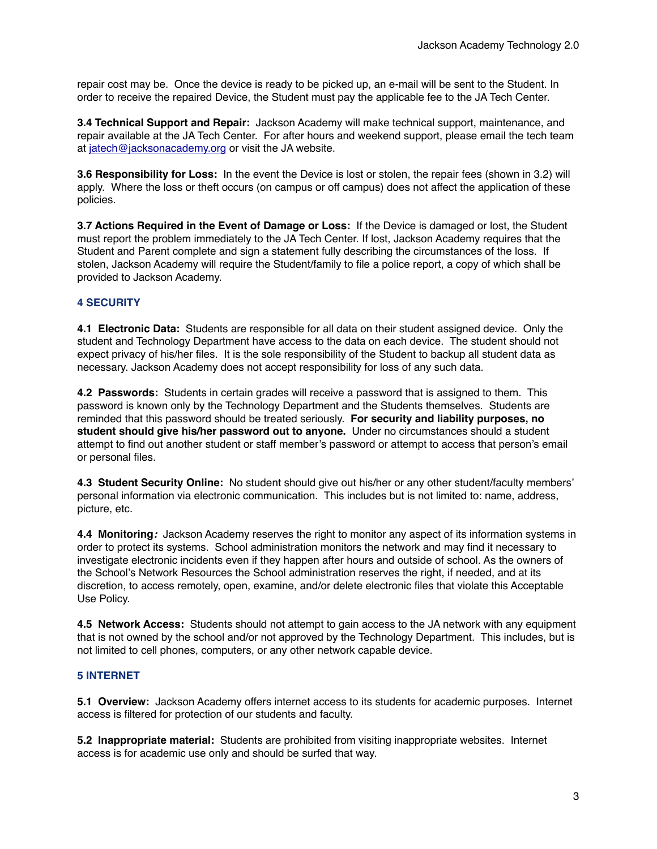repair cost may be. Once the device is ready to be picked up, an e-mail will be sent to the Student. In order to receive the repaired Device, the Student must pay the applicable fee to the JA Tech Center.

**3.4 Technical Support and Repair:** Jackson Academy will make technical support, maintenance, and repair available at the JA Tech Center. For after hours and weekend support, please email the tech team at [jatech@jacksonacademy.org](mailto:jatech@jacksonacademy.org) or visit the JA website.

**3.6 Responsibility for Loss:** In the event the Device is lost or stolen, the repair fees (shown in 3.2) will apply. Where the loss or theft occurs (on campus or off campus) does not affect the application of these policies.

**3.7 Actions Required in the Event of Damage or Loss:** If the Device is damaged or lost, the Student must report the problem immediately to the JA Tech Center. If lost, Jackson Academy requires that the Student and Parent complete and sign a statement fully describing the circumstances of the loss. If stolen, Jackson Academy will require the Student/family to file a police report, a copy of which shall be provided to Jackson Academy.

# **4 SECURITY**

**4.1 Electronic Data:** Students are responsible for all data on their student assigned device. Only the student and Technology Department have access to the data on each device. The student should not expect privacy of his/her files. It is the sole responsibility of the Student to backup all student data as necessary. Jackson Academy does not accept responsibility for loss of any such data.

**4.2 Passwords:** Students in certain grades will receive a password that is assigned to them. This password is known only by the Technology Department and the Students themselves. Students are reminded that this password should be treated seriously. **For security and liability purposes, no student should give his/her password out to anyone.** Under no circumstances should a student attempt to find out another student or staff member's password or attempt to access that person's email or personal files.

**4.3 Student Security Online:** No student should give out his/her or any other student/faculty members' personal information via electronic communication. This includes but is not limited to: name, address, picture, etc.

**4.4 Monitoring***:*Jackson Academy reserves the right to monitor any aspect of its information systems in order to protect its systems. School administration monitors the network and may find it necessary to investigate electronic incidents even if they happen after hours and outside of school. As the owners of the School's Network Resources the School administration reserves the right, if needed, and at its discretion, to access remotely, open, examine, and/or delete electronic files that violate this Acceptable Use Policy.

**4.5 Network Access:** Students should not attempt to gain access to the JA network with any equipment that is not owned by the school and/or not approved by the Technology Department. This includes, but is not limited to cell phones, computers, or any other network capable device.

#### **5 INTERNET**

**5.1 Overview:** Jackson Academy offers internet access to its students for academic purposes. Internet access is filtered for protection of our students and faculty.

**5.2 Inappropriate material:** Students are prohibited from visiting inappropriate websites. Internet access is for academic use only and should be surfed that way.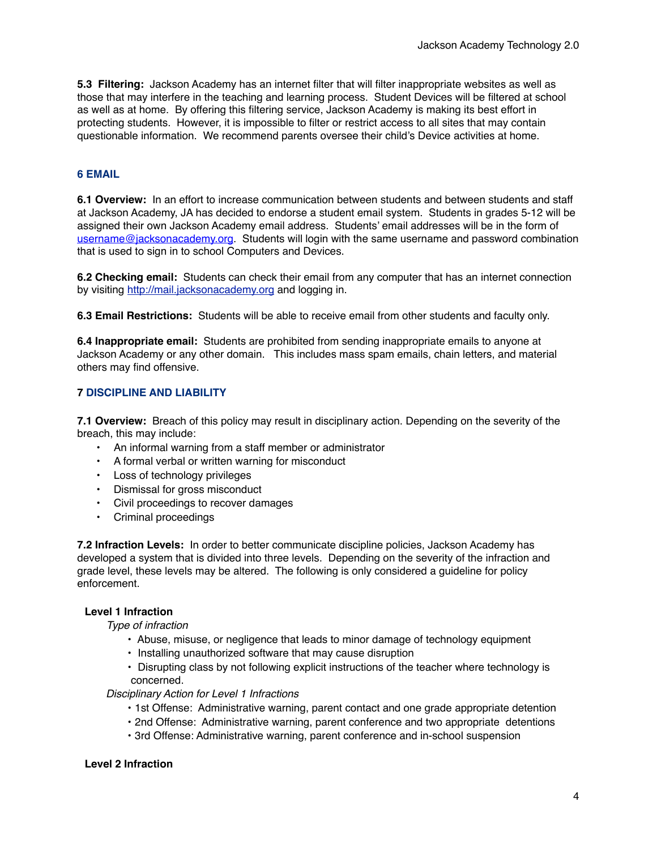**5.3 Filtering:** Jackson Academy has an internet filter that will filter inappropriate websites as well as those that may interfere in the teaching and learning process. Student Devices will be filtered at school as well as at home. By offering this filtering service, Jackson Academy is making its best effort in protecting students. However, it is impossible to filter or restrict access to all sites that may contain questionable information. We recommend parents oversee their child's Device activities at home.

# **6 EMAIL**

**6.1 Overview:** In an effort to increase communication between students and between students and staff at Jackson Academy, JA has decided to endorse a student email system. Students in grades 5-12 will be assigned their own Jackson Academy email address. Students' email addresses will be in the form of [username@jacksonacademy.org.](mailto:loginid@jastudents.org) Students will login with the same username and password combination that is used to sign in to school Computers and Devices.

**6.2 Checking email:** Students can check their email from any computer that has an internet connection by visiting <http://mail.jacksonacademy.org>and logging in.

**6.3 Email Restrictions:** Students will be able to receive email from other students and faculty only.

**6.4 Inappropriate email:** Students are prohibited from sending inappropriate emails to anyone at Jackson Academy or any other domain. This includes mass spam emails, chain letters, and material others may find offensive.

# **7 DISCIPLINE AND LIABILITY**

**7.1 Overview:** Breach of this policy may result in disciplinary action. Depending on the severity of the breach, this may include:

- An informal warning from a staff member or administrator
- A formal verbal or written warning for misconduct
- Loss of technology privileges
- Dismissal for gross misconduct
- Civil proceedings to recover damages
- Criminal proceedings

**7.2 Infraction Levels:** In order to better communicate discipline policies, Jackson Academy has developed a system that is divided into three levels. Depending on the severity of the infraction and grade level, these levels may be altered. The following is only considered a guideline for policy enforcement.

#### **Level 1 Infraction**

*Type of infraction*

- Abuse, misuse, or negligence that leads to minor damage of technology equipment
- Installing unauthorized software that may cause disruption
- Disrupting class by not following explicit instructions of the teacher where technology is concerned.

*Disciplinary Action for Level 1 Infractions*

- 1st Offense: Administrative warning, parent contact and one grade appropriate detention
- 2nd Offense: Administrative warning, parent conference and two appropriate detentions
- 3rd Offense: Administrative warning, parent conference and in-school suspension

#### **Level 2 Infraction**